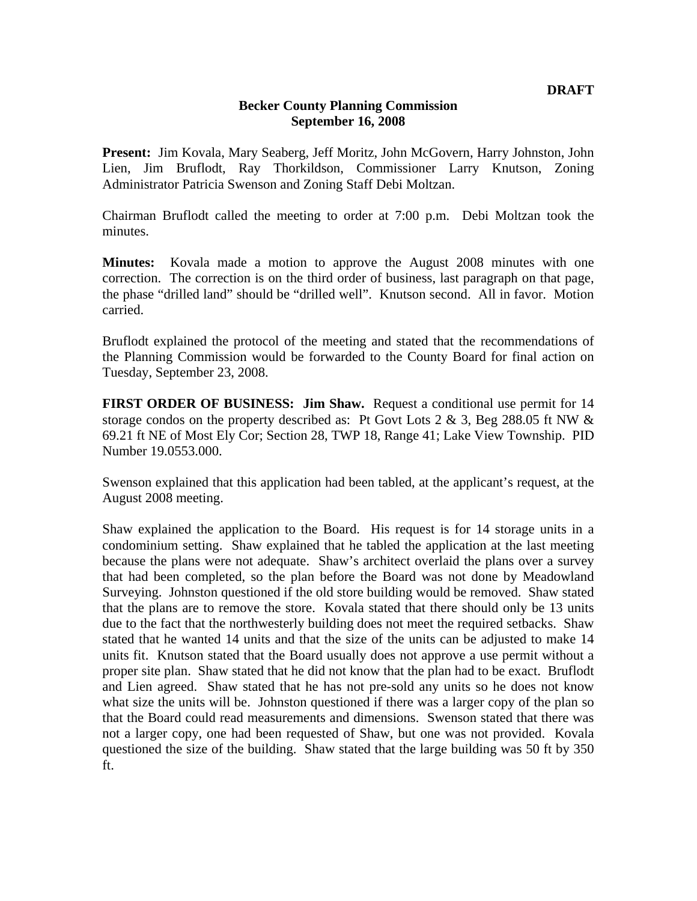## **Becker County Planning Commission September 16, 2008**

**Present:** Jim Kovala, Mary Seaberg, Jeff Moritz, John McGovern, Harry Johnston, John Lien, Jim Bruflodt, Ray Thorkildson, Commissioner Larry Knutson, Zoning Administrator Patricia Swenson and Zoning Staff Debi Moltzan.

Chairman Bruflodt called the meeting to order at 7:00 p.m. Debi Moltzan took the minutes.

**Minutes:** Kovala made a motion to approve the August 2008 minutes with one correction. The correction is on the third order of business, last paragraph on that page, the phase "drilled land" should be "drilled well". Knutson second. All in favor. Motion carried.

Bruflodt explained the protocol of the meeting and stated that the recommendations of the Planning Commission would be forwarded to the County Board for final action on Tuesday, September 23, 2008.

**FIRST ORDER OF BUSINESS: Jim Shaw.** Request a conditional use permit for 14 storage condos on the property described as: Pt Govt Lots 2  $\&$  3, Beg 288.05 ft NW  $\&$ 69.21 ft NE of Most Ely Cor; Section 28, TWP 18, Range 41; Lake View Township. PID Number 19.0553.000.

Swenson explained that this application had been tabled, at the applicant's request, at the August 2008 meeting.

Shaw explained the application to the Board. His request is for 14 storage units in a condominium setting. Shaw explained that he tabled the application at the last meeting because the plans were not adequate. Shaw's architect overlaid the plans over a survey that had been completed, so the plan before the Board was not done by Meadowland Surveying. Johnston questioned if the old store building would be removed. Shaw stated that the plans are to remove the store. Kovala stated that there should only be 13 units due to the fact that the northwesterly building does not meet the required setbacks. Shaw stated that he wanted 14 units and that the size of the units can be adjusted to make 14 units fit. Knutson stated that the Board usually does not approve a use permit without a proper site plan. Shaw stated that he did not know that the plan had to be exact. Bruflodt and Lien agreed. Shaw stated that he has not pre-sold any units so he does not know what size the units will be. Johnston questioned if there was a larger copy of the plan so that the Board could read measurements and dimensions. Swenson stated that there was not a larger copy, one had been requested of Shaw, but one was not provided. Kovala questioned the size of the building. Shaw stated that the large building was 50 ft by 350 ft.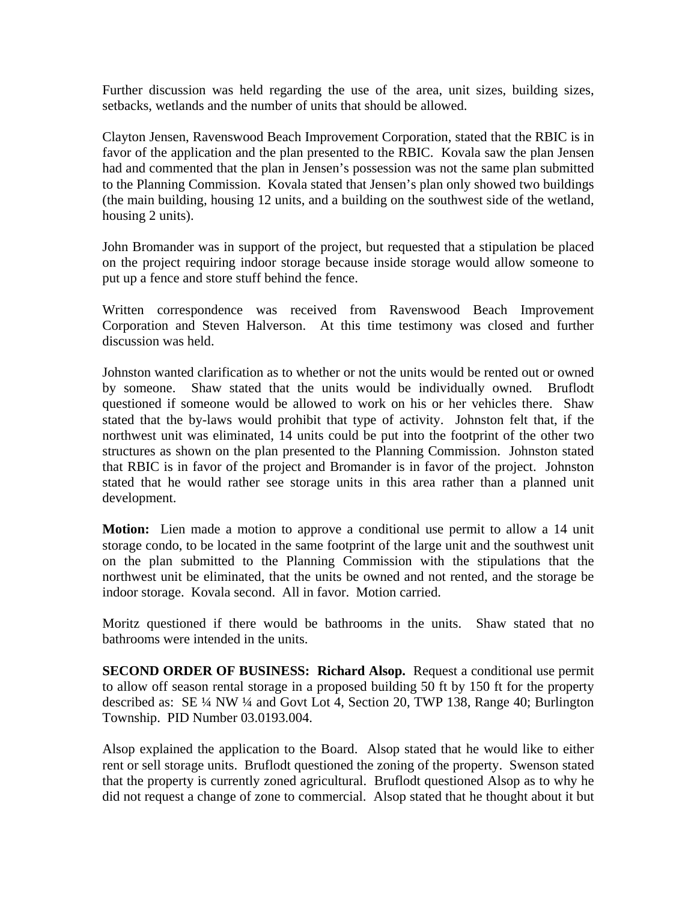Further discussion was held regarding the use of the area, unit sizes, building sizes, setbacks, wetlands and the number of units that should be allowed.

Clayton Jensen, Ravenswood Beach Improvement Corporation, stated that the RBIC is in favor of the application and the plan presented to the RBIC. Kovala saw the plan Jensen had and commented that the plan in Jensen's possession was not the same plan submitted to the Planning Commission. Kovala stated that Jensen's plan only showed two buildings (the main building, housing 12 units, and a building on the southwest side of the wetland, housing 2 units).

John Bromander was in support of the project, but requested that a stipulation be placed on the project requiring indoor storage because inside storage would allow someone to put up a fence and store stuff behind the fence.

Written correspondence was received from Ravenswood Beach Improvement Corporation and Steven Halverson. At this time testimony was closed and further discussion was held.

Johnston wanted clarification as to whether or not the units would be rented out or owned by someone. Shaw stated that the units would be individually owned. Bruflodt questioned if someone would be allowed to work on his or her vehicles there. Shaw stated that the by-laws would prohibit that type of activity. Johnston felt that, if the northwest unit was eliminated, 14 units could be put into the footprint of the other two structures as shown on the plan presented to the Planning Commission. Johnston stated that RBIC is in favor of the project and Bromander is in favor of the project. Johnston stated that he would rather see storage units in this area rather than a planned unit development.

**Motion:** Lien made a motion to approve a conditional use permit to allow a 14 unit storage condo, to be located in the same footprint of the large unit and the southwest unit on the plan submitted to the Planning Commission with the stipulations that the northwest unit be eliminated, that the units be owned and not rented, and the storage be indoor storage. Kovala second. All in favor. Motion carried.

Moritz questioned if there would be bathrooms in the units. Shaw stated that no bathrooms were intended in the units.

**SECOND ORDER OF BUSINESS: Richard Alsop.** Request a conditional use permit to allow off season rental storage in a proposed building 50 ft by 150 ft for the property described as: SE ¼ NW ¼ and Govt Lot 4, Section 20, TWP 138, Range 40; Burlington Township. PID Number 03.0193.004.

Alsop explained the application to the Board. Alsop stated that he would like to either rent or sell storage units. Bruflodt questioned the zoning of the property. Swenson stated that the property is currently zoned agricultural. Bruflodt questioned Alsop as to why he did not request a change of zone to commercial. Alsop stated that he thought about it but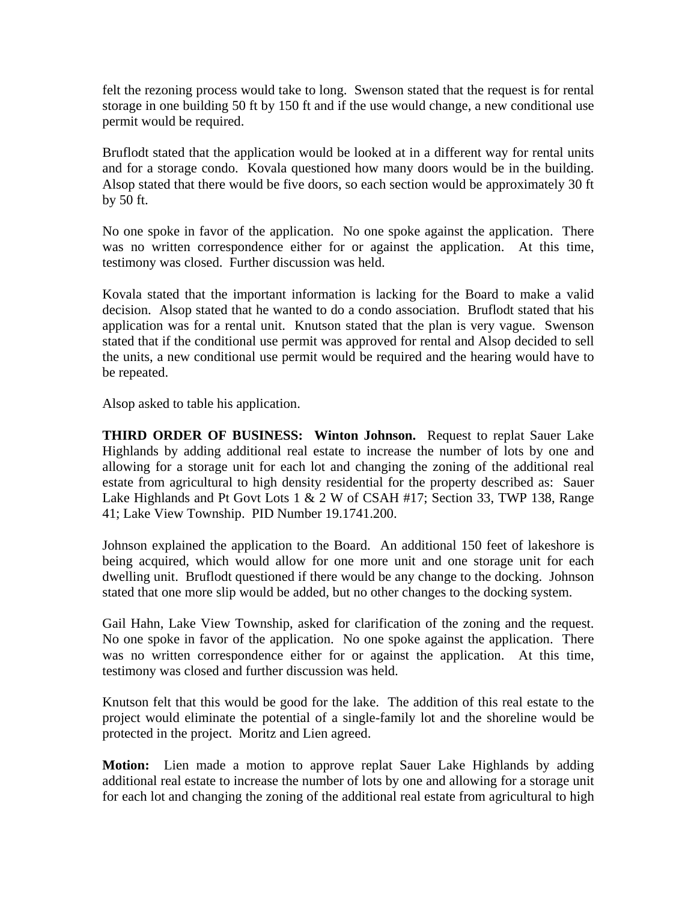felt the rezoning process would take to long. Swenson stated that the request is for rental storage in one building 50 ft by 150 ft and if the use would change, a new conditional use permit would be required.

Bruflodt stated that the application would be looked at in a different way for rental units and for a storage condo. Kovala questioned how many doors would be in the building. Alsop stated that there would be five doors, so each section would be approximately 30 ft by 50 ft.

No one spoke in favor of the application. No one spoke against the application. There was no written correspondence either for or against the application. At this time, testimony was closed. Further discussion was held.

Kovala stated that the important information is lacking for the Board to make a valid decision. Alsop stated that he wanted to do a condo association. Bruflodt stated that his application was for a rental unit. Knutson stated that the plan is very vague. Swenson stated that if the conditional use permit was approved for rental and Alsop decided to sell the units, a new conditional use permit would be required and the hearing would have to be repeated.

Alsop asked to table his application.

**THIRD ORDER OF BUSINESS: Winton Johnson.** Request to replat Sauer Lake Highlands by adding additional real estate to increase the number of lots by one and allowing for a storage unit for each lot and changing the zoning of the additional real estate from agricultural to high density residential for the property described as: Sauer Lake Highlands and Pt Govt Lots 1 & 2 W of CSAH #17; Section 33, TWP 138, Range 41; Lake View Township. PID Number 19.1741.200.

Johnson explained the application to the Board. An additional 150 feet of lakeshore is being acquired, which would allow for one more unit and one storage unit for each dwelling unit. Bruflodt questioned if there would be any change to the docking. Johnson stated that one more slip would be added, but no other changes to the docking system.

Gail Hahn, Lake View Township, asked for clarification of the zoning and the request. No one spoke in favor of the application. No one spoke against the application. There was no written correspondence either for or against the application. At this time, testimony was closed and further discussion was held.

Knutson felt that this would be good for the lake. The addition of this real estate to the project would eliminate the potential of a single-family lot and the shoreline would be protected in the project. Moritz and Lien agreed.

**Motion:** Lien made a motion to approve replat Sauer Lake Highlands by adding additional real estate to increase the number of lots by one and allowing for a storage unit for each lot and changing the zoning of the additional real estate from agricultural to high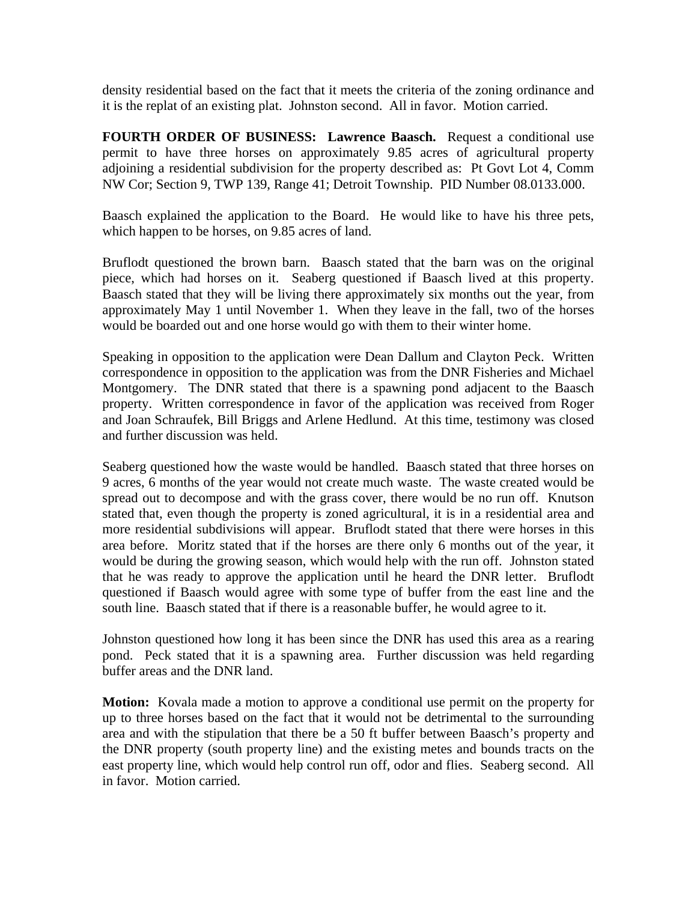density residential based on the fact that it meets the criteria of the zoning ordinance and it is the replat of an existing plat. Johnston second. All in favor. Motion carried.

**FOURTH ORDER OF BUSINESS: Lawrence Baasch.** Request a conditional use permit to have three horses on approximately 9.85 acres of agricultural property adjoining a residential subdivision for the property described as: Pt Govt Lot 4, Comm NW Cor; Section 9, TWP 139, Range 41; Detroit Township. PID Number 08.0133.000.

Baasch explained the application to the Board. He would like to have his three pets, which happen to be horses, on 9.85 acres of land.

Bruflodt questioned the brown barn. Baasch stated that the barn was on the original piece, which had horses on it. Seaberg questioned if Baasch lived at this property. Baasch stated that they will be living there approximately six months out the year, from approximately May 1 until November 1. When they leave in the fall, two of the horses would be boarded out and one horse would go with them to their winter home.

Speaking in opposition to the application were Dean Dallum and Clayton Peck. Written correspondence in opposition to the application was from the DNR Fisheries and Michael Montgomery. The DNR stated that there is a spawning pond adjacent to the Baasch property. Written correspondence in favor of the application was received from Roger and Joan Schraufek, Bill Briggs and Arlene Hedlund. At this time, testimony was closed and further discussion was held.

Seaberg questioned how the waste would be handled. Baasch stated that three horses on 9 acres, 6 months of the year would not create much waste. The waste created would be spread out to decompose and with the grass cover, there would be no run off. Knutson stated that, even though the property is zoned agricultural, it is in a residential area and more residential subdivisions will appear. Bruflodt stated that there were horses in this area before. Moritz stated that if the horses are there only 6 months out of the year, it would be during the growing season, which would help with the run off. Johnston stated that he was ready to approve the application until he heard the DNR letter. Bruflodt questioned if Baasch would agree with some type of buffer from the east line and the south line. Baasch stated that if there is a reasonable buffer, he would agree to it.

Johnston questioned how long it has been since the DNR has used this area as a rearing pond. Peck stated that it is a spawning area. Further discussion was held regarding buffer areas and the DNR land.

**Motion:** Kovala made a motion to approve a conditional use permit on the property for up to three horses based on the fact that it would not be detrimental to the surrounding area and with the stipulation that there be a 50 ft buffer between Baasch's property and the DNR property (south property line) and the existing metes and bounds tracts on the east property line, which would help control run off, odor and flies. Seaberg second. All in favor. Motion carried.